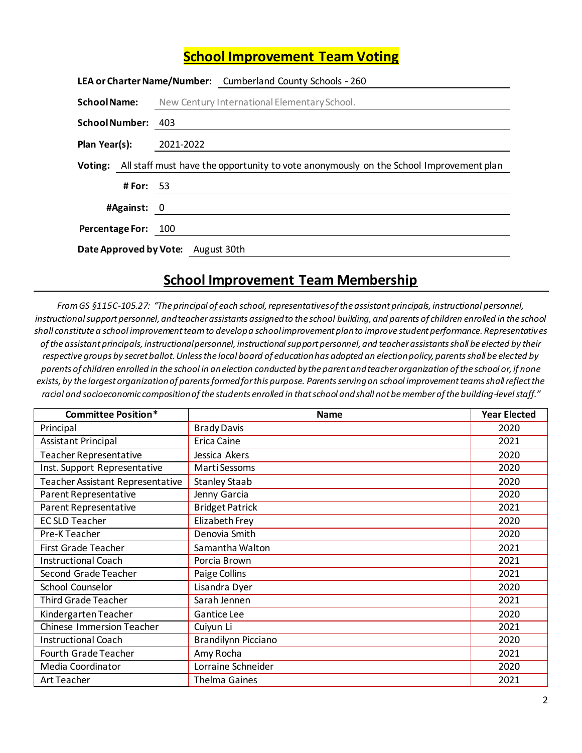## **School Improvement Team Voting**

|                                    | LEA or Charter Name/Number: Cumberland County Schools - 260                                    |  |
|------------------------------------|------------------------------------------------------------------------------------------------|--|
| <b>School Name:</b>                | New Century International Elementary School.                                                   |  |
| <b>School Number:</b>              | 403                                                                                            |  |
| Plan Year(s):                      | 2021-2022                                                                                      |  |
|                                    | Voting: All staff must have the opportunity to vote anonymously on the School Improvement plan |  |
| # For: $53$                        |                                                                                                |  |
| #Against: 0                        |                                                                                                |  |
| Percentage For: 100                |                                                                                                |  |
| Date Approved by Vote: August 30th |                                                                                                |  |

## **School Improvement Team Membership**

*From GS §115C-105.27: "The principal of each school, representatives of the assistant principals, instructional personnel, instructional support personnel, and teacher assistants assigned to the school building, and parents of children enrolled in the school shall constitute a school improvement team to develop a school improvement plan to improve student performance. Representatives of the assistant principals, instructional personnel, instructional support personnel, and teacher assistants shall be elected by their respective groups by secret ballot. Unless the local board of education has adopted an election policy, parents shall be elected by parents of children enrolled in the school in an election conducted by the parent and teacher organization of the school or, if none exists, by the largest organization of parents formed for this purpose. Parents serving on school improvement teams shall reflect the racial and socioeconomic composition of the students enrolled in that school and shall not be member of the building-level staff."*

| <b>Committee Position*</b>       | <b>Name</b>                | <b>Year Elected</b> |
|----------------------------------|----------------------------|---------------------|
| Principal                        | <b>Brady Davis</b>         | 2020                |
| <b>Assistant Principal</b>       | Erica Caine                | 2021                |
| Teacher Representative           | Jessica Akers              | 2020                |
| Inst. Support Representative     | Marti Sessoms              | 2020                |
| Teacher Assistant Representative | <b>Stanley Staab</b>       | 2020                |
| Parent Representative            | Jenny Garcia               | 2020                |
| Parent Representative            | <b>Bridget Patrick</b>     | 2021                |
| <b>EC SLD Teacher</b>            | Elizabeth Frey             | 2020                |
| Pre-K Teacher                    | Denovia Smith              | 2020                |
| First Grade Teacher              | Samantha Walton            | 2021                |
| <b>Instructional Coach</b>       | Porcia Brown               | 2021                |
| Second Grade Teacher             | Paige Collins              | 2021                |
| <b>School Counselor</b>          | Lisandra Dyer              | 2020                |
| <b>Third Grade Teacher</b>       | Sarah Jennen               | 2021                |
| Kindergarten Teacher             | <b>Gantice Lee</b>         | 2020                |
| <b>Chinese Immersion Teacher</b> | Cuiyun Li                  | 2021                |
| <b>Instructional Coach</b>       | <b>Brandilynn Picciano</b> | 2020                |
| Fourth Grade Teacher             | Amy Rocha                  | 2021                |
| Media Coordinator                | Lorraine Schneider         | 2020                |
| <b>Art Teacher</b>               | <b>Thelma Gaines</b>       | 2021                |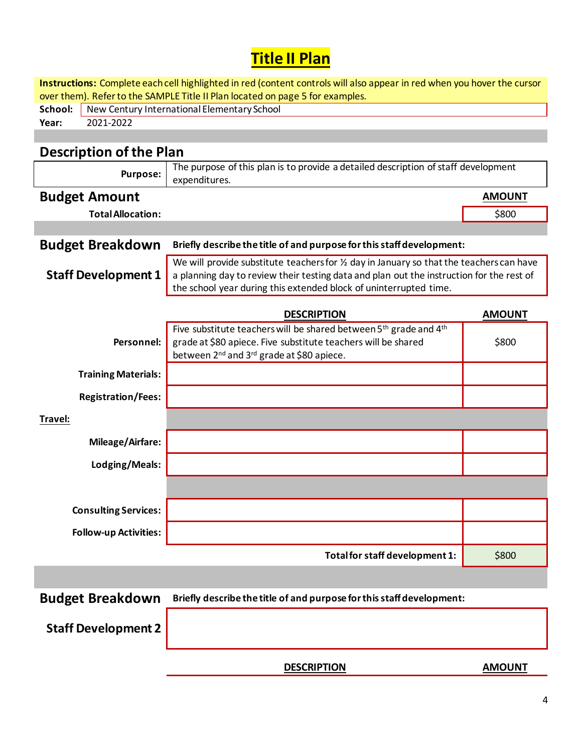## **Title II Plan**

**Instructions:** Complete each cell highlighted in red (content controls will also appear in red when you hover the cursor over them). Refer to the SAMPLE Title II Plan located on page 5 for examples.

| School: | New Century International Elementary School |  |
|---------|---------------------------------------------|--|
| Year:   | 2021-2022                                   |  |
|         |                                             |  |

## **Description of the Plan**

| Purpose:                     | The purpose of this plan is to provide a detailed description of staff development                                                                                                                                                                                  |               |
|------------------------------|---------------------------------------------------------------------------------------------------------------------------------------------------------------------------------------------------------------------------------------------------------------------|---------------|
|                              | expenditures.                                                                                                                                                                                                                                                       |               |
| <b>Budget Amount</b>         |                                                                                                                                                                                                                                                                     | <b>AMOUNT</b> |
| <b>Total Allocation:</b>     |                                                                                                                                                                                                                                                                     | \$800         |
|                              |                                                                                                                                                                                                                                                                     |               |
| <b>Budget Breakdown</b>      | Briefly describe the title of and purpose for this staff development:                                                                                                                                                                                               |               |
| <b>Staff Development 1</b>   | We will provide substitute teachers for $\frac{1}{2}$ day in January so that the teachers can have<br>a planning day to review their testing data and plan out the instruction for the rest of<br>the school year during this extended block of uninterrupted time. |               |
|                              | <b>DESCRIPTION</b>                                                                                                                                                                                                                                                  | <b>AMOUNT</b> |
| Personnel:                   | Five substitute teachers will be shared between 5 <sup>th</sup> grade and 4 <sup>th</sup><br>grade at \$80 apiece. Five substitute teachers will be shared<br>between 2 <sup>nd</sup> and 3 <sup>rd</sup> grade at \$80 apiece.                                     | \$800         |
| <b>Training Materials:</b>   |                                                                                                                                                                                                                                                                     |               |
| <b>Registration/Fees:</b>    |                                                                                                                                                                                                                                                                     |               |
| Travel:                      |                                                                                                                                                                                                                                                                     |               |
| <b>Mileage/Airfare:</b>      |                                                                                                                                                                                                                                                                     |               |
| Lodging/Meals:               |                                                                                                                                                                                                                                                                     |               |
|                              |                                                                                                                                                                                                                                                                     |               |
| <b>Consulting Services:</b>  |                                                                                                                                                                                                                                                                     |               |
| <b>Follow-up Activities:</b> |                                                                                                                                                                                                                                                                     |               |
|                              | Total for staff development 1:                                                                                                                                                                                                                                      | \$800         |
|                              |                                                                                                                                                                                                                                                                     |               |

**Budget Breakdown Briefly describe the title of and purpose for this staff development:**

**Staff Development 2**

**DESCRIPTION AMOUNT**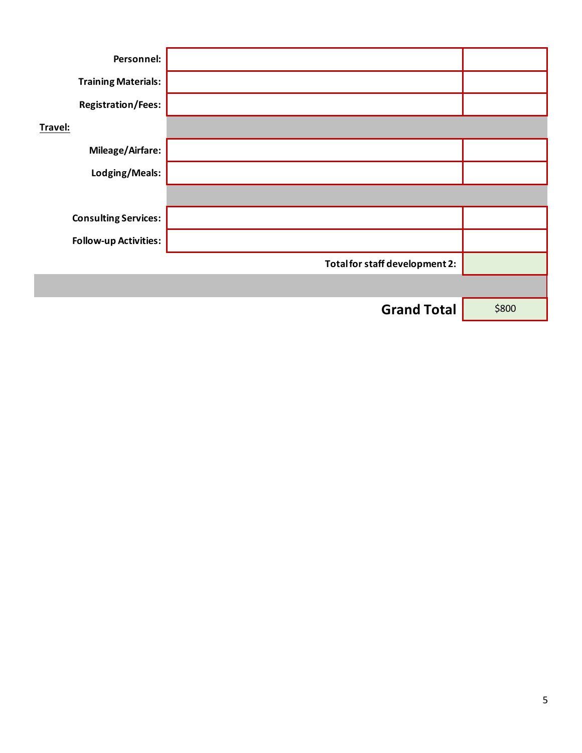| Personnel:                   |                                |       |
|------------------------------|--------------------------------|-------|
| <b>Training Materials:</b>   |                                |       |
| <b>Registration/Fees:</b>    |                                |       |
| Travel:                      |                                |       |
| <b>Mileage/Airfare:</b>      |                                |       |
| Lodging/Meals:               |                                |       |
|                              |                                |       |
| <b>Consulting Services:</b>  |                                |       |
| <b>Follow-up Activities:</b> |                                |       |
|                              | Total for staff development 2: |       |
|                              |                                |       |
|                              | <b>Grand Total</b>             | \$800 |